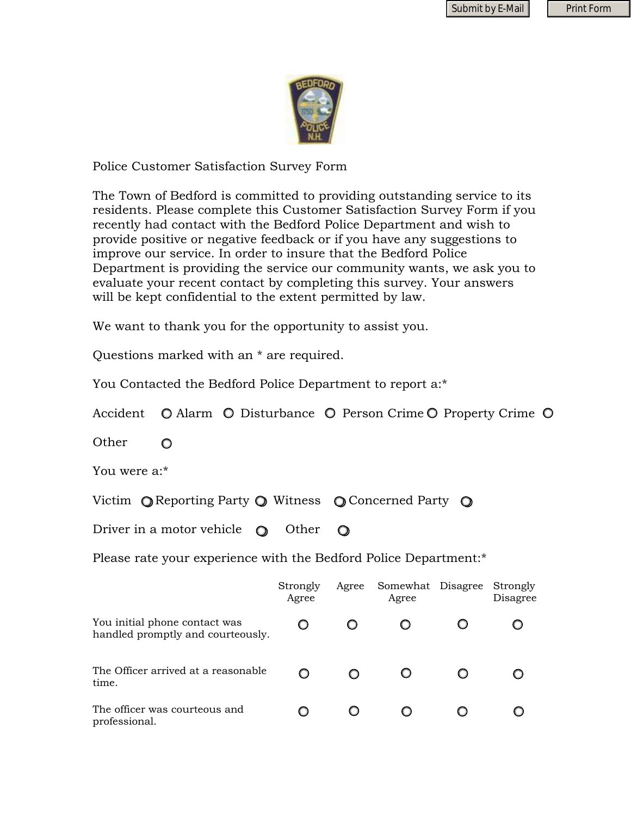

Police Customer Satisfaction Survey Form

The Town of Bedford is committed to providing outstanding service to its residents. Please complete this Customer Satisfaction Survey Form if you recently had contact with the Bedford Police Department and wish to provide positive or negative feedback or if you have any suggestions to improve our service. In order to insure that the Bedford Police Department is providing the service our community wants, we ask you to evaluate your recent contact by completing this survey. Your answers will be kept confidential to the extent permitted by law.

We want to thank you for the opportunity to assist you.

Questions marked with an \* are required.

You Contacted the Bedford Police Department to report a:\*

Accident  $\bullet$  Alarm  $\bullet$  Disturbance  $\bullet$  Person Crime  $\bullet$  Property Crime  $\bullet$ 

**Other**  $\circ$ 

You were a:\*

Victim  $\bigcirc$  Reporting Party  $\bigcirc$  Witness  $\bigcirc$  Concerned Party  $\bigcirc$ 

Driver in a motor vehicle  $\bigcirc$  Other  $\Omega$ 

Please rate your experience with the Bedford Police Department:\*

|                                                                    | Strongly<br>Agree | Agree | Somewhat Disagree<br>Agree | Strongly<br>Disagree |
|--------------------------------------------------------------------|-------------------|-------|----------------------------|----------------------|
| You initial phone contact was<br>handled promptly and courteously. |                   |       |                            |                      |
| The Officer arrived at a reasonable<br>time.                       |                   |       |                            |                      |
| The officer was courteous and<br>professional.                     |                   |       |                            |                      |